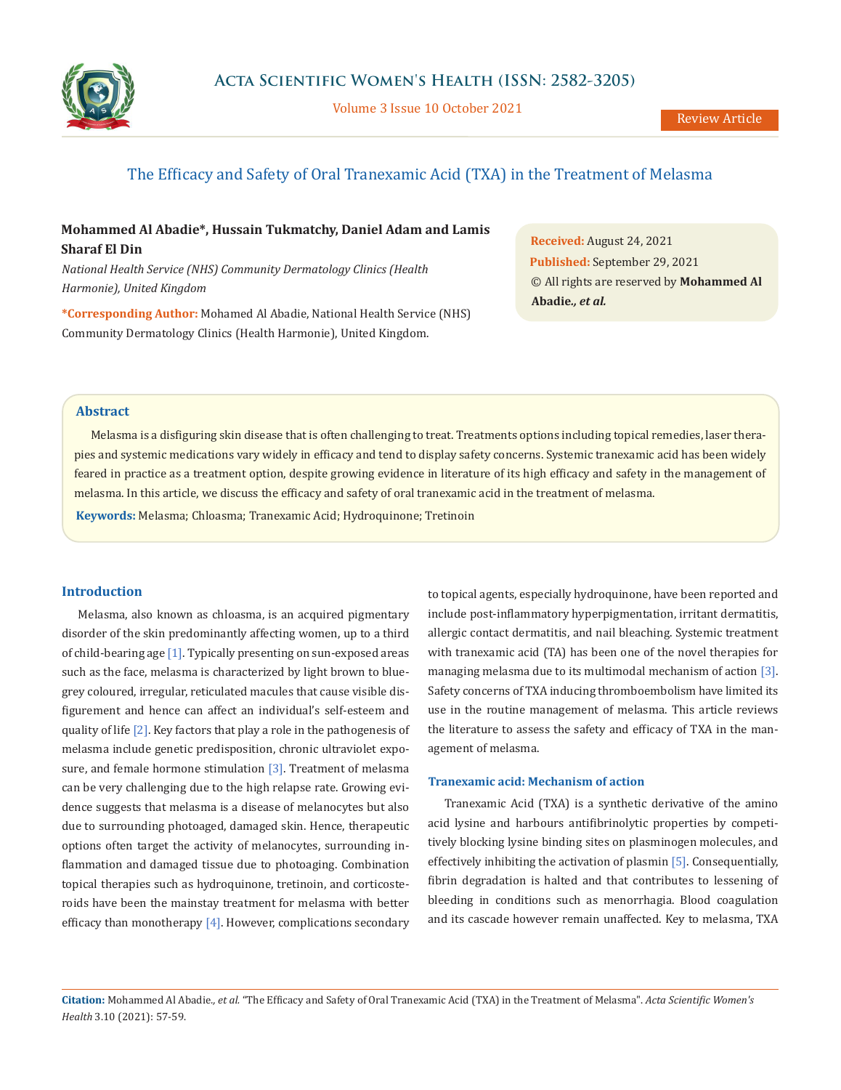

Volume 3 Issue 10 October 2021

# The Efficacy and Safety of Oral Tranexamic Acid (TXA) in the Treatment of Melasma

# **Mohammed Al Abadie\*, Hussain Tukmatchy, Daniel Adam and Lamis Sharaf El Din**

*National Health Service (NHS) Community Dermatology Clinics (Health Harmonie), United Kingdom*

**\*Corresponding Author:** Mohamed Al Abadie, National Health Service (NHS) Community Dermatology Clinics (Health Harmonie), United Kingdom.

**Received:** August 24, 2021 **Published:** September 29, 2021 © All rights are reserved by **Mohammed Al Abadie***., et al.*

## **Abstract**

Melasma is a disfiguring skin disease that is often challenging to treat. Treatments options including topical remedies, laser therapies and systemic medications vary widely in efficacy and tend to display safety concerns. Systemic tranexamic acid has been widely feared in practice as a treatment option, despite growing evidence in literature of its high efficacy and safety in the management of melasma. In this article, we discuss the efficacy and safety of oral tranexamic acid in the treatment of melasma.

**Keywords:** Melasma; Chloasma; Tranexamic Acid; Hydroquinone; Tretinoin

#### **Introduction**

Melasma, also known as chloasma, is an acquired pigmentary disorder of the skin predominantly affecting women, up to a third of child-bearing age  $[1]$ . Typically presenting on sun-exposed areas such as the face, melasma is characterized by light brown to bluegrey coloured, irregular, reticulated macules that cause visible disfigurement and hence can affect an individual's self-esteem and quality of life [2]. Key factors that play a role in the pathogenesis of melasma include genetic predisposition, chronic ultraviolet exposure, and female hormone stimulation  $[3]$ . Treatment of melasma can be very challenging due to the high relapse rate. Growing evidence suggests that melasma is a disease of melanocytes but also due to surrounding photoaged, damaged skin. Hence, therapeutic options often target the activity of melanocytes, surrounding inflammation and damaged tissue due to photoaging. Combination topical therapies such as hydroquinone, tretinoin, and corticosteroids have been the mainstay treatment for melasma with better efficacy than monotherapy [4]. However, complications secondary

to topical agents, especially hydroquinone, have been reported and include post-inflammatory hyperpigmentation, irritant dermatitis, allergic contact dermatitis, and nail bleaching. Systemic treatment with tranexamic acid (TA) has been one of the novel therapies for managing melasma due to its multimodal mechanism of action [3]. Safety concerns of TXA inducing thromboembolism have limited its use in the routine management of melasma. This article reviews the literature to assess the safety and efficacy of TXA in the management of melasma.

#### **Tranexamic acid: Mechanism of action**

Tranexamic Acid (TXA) is a synthetic derivative of the amino acid lysine and harbours antifibrinolytic properties by competitively blocking lysine binding sites on plasminogen molecules, and effectively inhibiting the activation of plasmin [5]. Consequentially, fibrin degradation is halted and that contributes to lessening of bleeding in conditions such as menorrhagia. Blood coagulation and its cascade however remain unaffected. Key to melasma, TXA

**Citation:** Mohammed Al Abadie*., et al.* "The Efficacy and Safety of Oral Tranexamic Acid (TXA) in the Treatment of Melasma". *Acta Scientific Women's Health* 3.10 (2021): 57-59.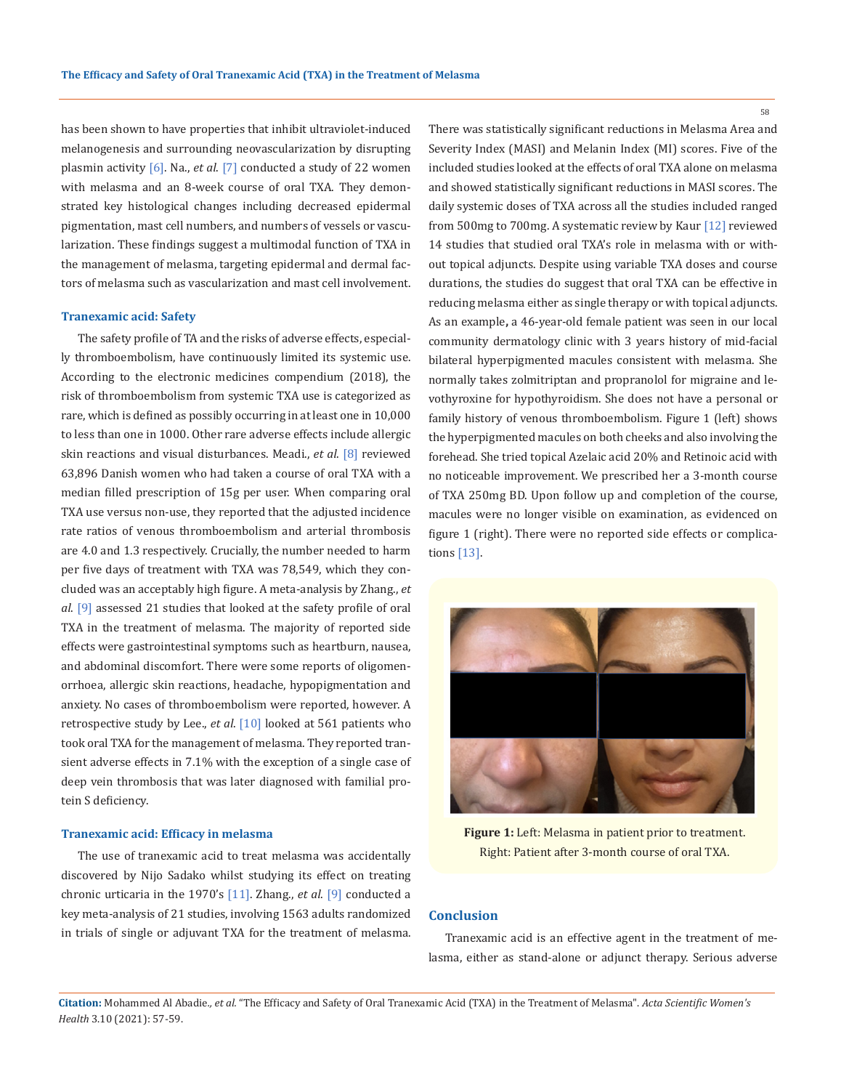has been shown to have properties that inhibit ultraviolet-induced melanogenesis and surrounding neovascularization by disrupting plasmin activity [6]. Na., *et al*. [7] conducted a study of 22 women with melasma and an 8-week course of oral TXA. They demonstrated key histological changes including decreased epidermal pigmentation, mast cell numbers, and numbers of vessels or vascularization. These findings suggest a multimodal function of TXA in the management of melasma, targeting epidermal and dermal factors of melasma such as vascularization and mast cell involvement.

### **Tranexamic acid: Safety**

The safety profile of TA and the risks of adverse effects, especially thromboembolism, have continuously limited its systemic use. According to the electronic medicines compendium (2018), the risk of thromboembolism from systemic TXA use is categorized as rare, which is defined as possibly occurring in at least one in 10,000 to less than one in 1000. Other rare adverse effects include allergic skin reactions and visual disturbances. Meadi., *et al*. [8] reviewed 63,896 Danish women who had taken a course of oral TXA with a median filled prescription of 15g per user. When comparing oral TXA use versus non-use, they reported that the adjusted incidence rate ratios of venous thromboembolism and arterial thrombosis are 4.0 and 1.3 respectively. Crucially, the number needed to harm per five days of treatment with TXA was 78,549, which they concluded was an acceptably high figure. A meta-analysis by Zhang., *et al*. [9] assessed 21 studies that looked at the safety profile of oral TXA in the treatment of melasma. The majority of reported side effects were gastrointestinal symptoms such as heartburn, nausea, and abdominal discomfort. There were some reports of oligomenorrhoea, allergic skin reactions, headache, hypopigmentation and anxiety. No cases of thromboembolism were reported, however. A retrospective study by Lee., *et al*. [10] looked at 561 patients who took oral TXA for the management of melasma. They reported transient adverse effects in 7.1% with the exception of a single case of deep vein thrombosis that was later diagnosed with familial protein S deficiency.

### **Tranexamic acid: Efficacy in melasma**

The use of tranexamic acid to treat melasma was accidentally discovered by Nijo Sadako whilst studying its effect on treating chronic urticaria in the 1970's [11]. Zhang., *et al*. [9] conducted a key meta-analysis of 21 studies, involving 1563 adults randomized in trials of single or adjuvant TXA for the treatment of melasma.

There was statistically significant reductions in Melasma Area and Severity Index (MASI) and Melanin Index (MI) scores. Five of the included studies looked at the effects of oral TXA alone on melasma and showed statistically significant reductions in MASI scores. The daily systemic doses of TXA across all the studies included ranged from 500mg to 700mg. A systematic review by Kaur [12] reviewed 14 studies that studied oral TXA's role in melasma with or without topical adjuncts. Despite using variable TXA doses and course durations, the studies do suggest that oral TXA can be effective in reducing melasma either as single therapy or with topical adjuncts. As an example**,** a 46-year-old female patient was seen in our local community dermatology clinic with 3 years history of mid-facial bilateral hyperpigmented macules consistent with melasma. She normally takes zolmitriptan and propranolol for migraine and levothyroxine for hypothyroidism. She does not have a personal or family history of venous thromboembolism. Figure 1 (left) shows the hyperpigmented macules on both cheeks and also involving the forehead. She tried topical Azelaic acid 20% and Retinoic acid with no noticeable improvement. We prescribed her a 3-month course of TXA 250mg BD. Upon follow up and completion of the course, macules were no longer visible on examination, as evidenced on figure 1 (right). There were no reported side effects or complications [13].



**Figure 1:** Left: Melasma in patient prior to treatment. Right: Patient after 3-month course of oral TXA.

### **Conclusion**

Tranexamic acid is an effective agent in the treatment of melasma, either as stand-alone or adjunct therapy. Serious adverse

**Citation:** Mohammed Al Abadie*., et al.* "The Efficacy and Safety of Oral Tranexamic Acid (TXA) in the Treatment of Melasma". *Acta Scientific Women's Health* 3.10 (2021): 57-59.

58